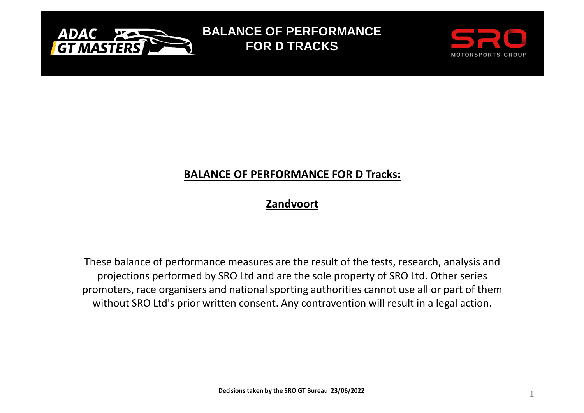

**BALANCE OF PERFORMANCEFOR D TRACKS** 



## **BALANCE OF PERFORMANCE FOR D Tracks:**

## **Zandvoort**

These balance of performance measures are the result of the tests, research, analysis and projections performed by SRO Ltd and are the sole property of SRO Ltd. Other series promoters, race organisers and national sporting authorities cannot use all or part of them without SRO Ltd's prior written consent. Any contravention will result in a legal action.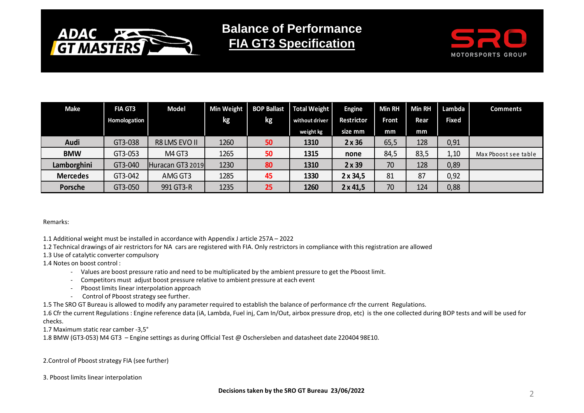

**Balance of PerformanceFIA GT3 Specification**



| Make            | <b>FIA GT3</b> | <b>Model</b>     |      | Min Weight   BOP Ballast | Total Weight   | <b>Engine</b>     | <b>Min RH</b> | <b>Min RH</b> | Lambda       | <b>Comments</b>      |
|-----------------|----------------|------------------|------|--------------------------|----------------|-------------------|---------------|---------------|--------------|----------------------|
|                 | Homologation   |                  | kg   | kg                       | without driver | <b>Restrictor</b> | <b>Front</b>  | Rear          | <b>Fixed</b> |                      |
|                 |                |                  |      |                          | weight kg      | size mm           | mm            | mm            |              |                      |
| Audi            | GT3-038        | R8 LMS EVO II    | 1260 | 50                       | 1310           | $2 \times 36$     | 65,5          | 128           | 0,91         |                      |
| <b>BMW</b>      | GT3-053        | M4 GT3           | 1265 | 50                       | 1315           | none              | 84,5          | 83,5          | 1,10         | Max Pboost see table |
| Lamborghini     | GT3-040        | Huracan GT3 2019 | 1230 | 80                       | 1310           | $2 \times 39$     | 70            | 128           | 0,89         |                      |
| <b>Mercedes</b> | GT3-042        | AMG GT3          | 1285 | 45                       | 1330           | $2 \times 34,5$   | 81            | 87            | 0,92         |                      |
| <b>Porsche</b>  | GT3-050        | 991 GT3-R        | 1235 | 25                       | 1260           | $2 \times 41,5$   | 70            | 124           | 0,88         |                      |

Remarks:

1.1 Additional weight must be installed in accordance with Appendix J article 257A – <sup>2022</sup>

1.2 Technical drawings of air restrictors for NA cars are registered with FIA. Only restrictors in compliance with this registration are allowed

1.3 Use of catalytic converter compulsory

1.4 Notes on boost control :

- Values are boost pressure ratio and need to be multiplicated by the ambient pressure to get the Pboost limit.
- Competitors must adjust boost pressure relative to ambient pressure at each event
- Pboost limits linear interpolation approach
- Control of Pboost strategy see further.

1.5 The SRO GT Bureau is allowed to modify any parameter required to establish the balance of performance cfr the current Regulations.

1.6 Cfr the current Regulations : Engine reference data (iA, Lambda, Fuel inj, Cam In/Out, airbox pressure drop, etc) is the one collected during BOP tests and will be used for checks.

1.7 Maximum static rear camber -3,5°

1.8 BMW (GT3-053) M4 GT3 – Engine settings as during Official Test @ Oschersleben and datasheet date 220404 98E10.

2.Control of Pboost strategy FIA (see further)

3. Pboost limits linear interpolation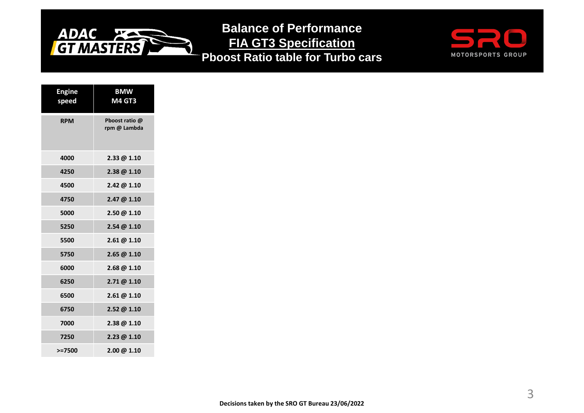

**Balance of Performance FIA GT3 SpecificationPboost Ratio table for Turbo cars**



| <b>Engine</b><br>speed | <b>BMW</b><br><b>M4 GT3</b>    |
|------------------------|--------------------------------|
| <b>RPM</b>             | Pboost ratio @<br>rpm @ Lambda |
| 4000                   | $2.33 \ @ 1.10$                |
| 4250                   | 2.38 @ 1.10                    |
| 4500                   | 2.42 @ 1.10                    |
| 4750                   | 2.47 @ 1.10                    |
| 5000                   | 2.50 @ 1.10                    |
| 5250                   | 2.54@1.10                      |
| 5500                   | 2.61@1.10                      |
| 5750                   | 2.65 @ 1.10                    |
| 6000                   | 2.68 @ 1.10                    |
| 6250                   | 2.71@1.10                      |
| 6500                   | 2.61@1.10                      |
| 6750                   | 2.52 @ 1.10                    |
| 7000                   | 2.38 @ 1.10                    |
| 7250                   | 2.23@1.10                      |
| $> = 7500$             | $2.00 \ @ \ 1.10$              |